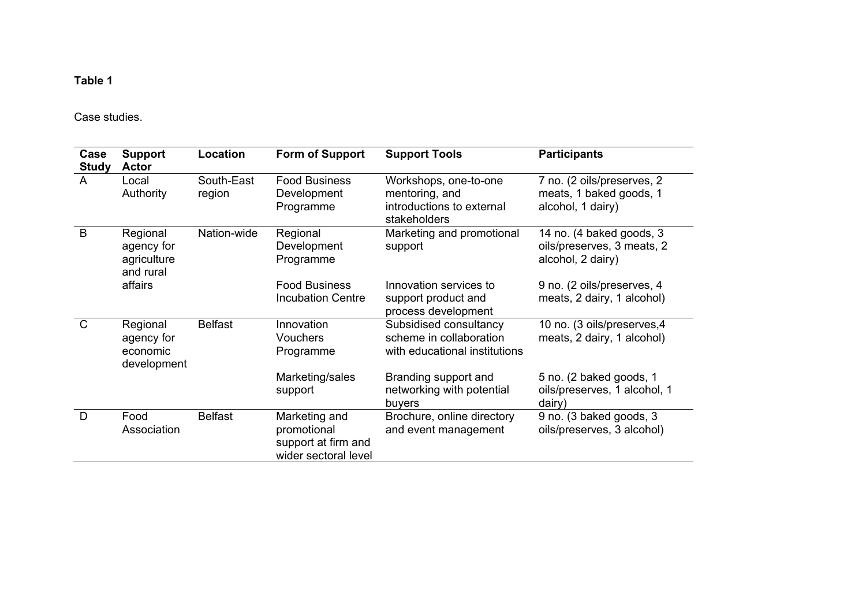Case studies.

| Case<br><b>Study</b> | <b>Support</b><br><b>Actor</b>                     | Location             | Form of Support                                                             | <b>Support Tools</b>                                                                 | <b>Participants</b>                                                         |
|----------------------|----------------------------------------------------|----------------------|-----------------------------------------------------------------------------|--------------------------------------------------------------------------------------|-----------------------------------------------------------------------------|
| A                    | Local<br>Authority                                 | South-East<br>region | <b>Food Business</b><br>Development<br>Programme                            | Workshops, one-to-one<br>mentoring, and<br>introductions to external<br>stakeholders | 7 no. (2 oils/preserves, 2<br>meats, 1 baked goods, 1<br>alcohol, 1 dairy)  |
| B                    | Regional<br>agency for<br>agriculture<br>and rural | Nation-wide          | Regional<br>Development<br>Programme                                        | Marketing and promotional<br>support                                                 | 14 no. (4 baked goods, 3<br>oils/preserves, 3 meats, 2<br>alcohol, 2 dairy) |
|                      | affairs                                            |                      | <b>Food Business</b><br><b>Incubation Centre</b>                            | Innovation services to<br>support product and<br>process development                 | 9 no. (2 oils/preserves, 4<br>meats, 2 dairy, 1 alcohol)                    |
| $\mathsf{C}$         | Regional<br>agency for<br>economic<br>development  | <b>Belfast</b>       | Innovation<br><b>Vouchers</b><br>Programme                                  | Subsidised consultancy<br>scheme in collaboration<br>with educational institutions   | 10 no. (3 oils/preserves,4<br>meats, 2 dairy, 1 alcohol)                    |
|                      |                                                    |                      | Marketing/sales<br>support                                                  | Branding support and<br>networking with potential<br>buyers                          | 5 no. (2 baked goods, 1<br>oils/preserves, 1 alcohol, 1<br>dairy)           |
| D                    | Food<br>Association                                | <b>Belfast</b>       | Marketing and<br>promotional<br>support at firm and<br>wider sectoral level | Brochure, online directory<br>and event management                                   | 9 no. (3 baked goods, 3<br>oils/preserves, 3 alcohol)                       |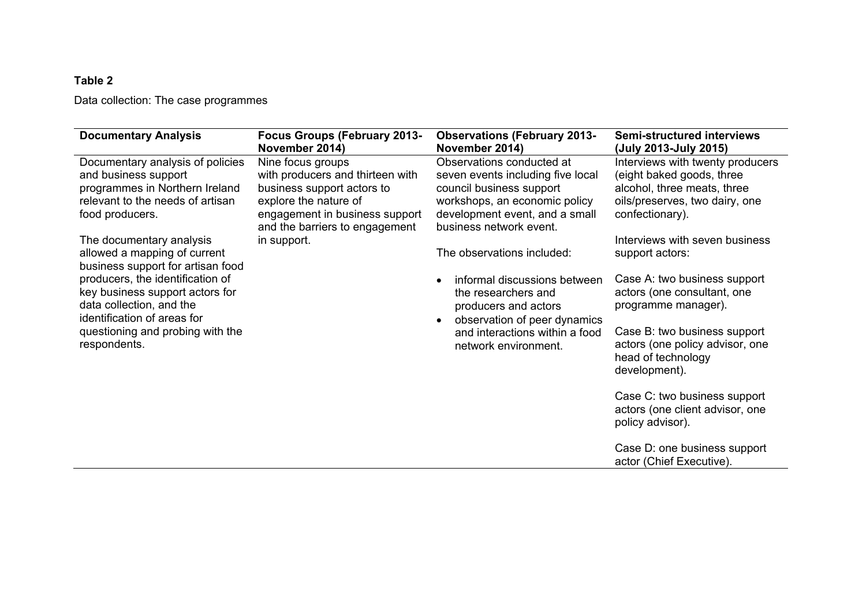Data collection: The case programmes

| <b>Documentary Analysis</b>                                                                                                                       | <b>Focus Groups (February 2013-</b><br>November 2014)                                                                                                                            | <b>Observations (February 2013-</b><br>November 2014)                                                                                                                                    | <b>Semi-structured interviews</b><br>(July 2013-July 2015)                                                                                        |
|---------------------------------------------------------------------------------------------------------------------------------------------------|----------------------------------------------------------------------------------------------------------------------------------------------------------------------------------|------------------------------------------------------------------------------------------------------------------------------------------------------------------------------------------|---------------------------------------------------------------------------------------------------------------------------------------------------|
| Documentary analysis of policies<br>and business support<br>programmes in Northern Ireland<br>relevant to the needs of artisan<br>food producers. | Nine focus groups<br>with producers and thirteen with<br>business support actors to<br>explore the nature of<br>engagement in business support<br>and the barriers to engagement | Observations conducted at<br>seven events including five local<br>council business support<br>workshops, an economic policy<br>development event, and a small<br>business network event. | Interviews with twenty producers<br>(eight baked goods, three<br>alcohol, three meats, three<br>oils/preserves, two dairy, one<br>confectionary). |
| The documentary analysis<br>allowed a mapping of current<br>business support for artisan food                                                     | in support.                                                                                                                                                                      | The observations included:                                                                                                                                                               | Interviews with seven business<br>support actors:                                                                                                 |
| producers, the identification of<br>key business support actors for<br>data collection, and the<br>identification of areas for                    |                                                                                                                                                                                  | informal discussions between<br>the researchers and<br>producers and actors<br>observation of peer dynamics                                                                              | Case A: two business support<br>actors (one consultant, one<br>programme manager).                                                                |
| questioning and probing with the<br>respondents.                                                                                                  |                                                                                                                                                                                  | and interactions within a food<br>network environment.                                                                                                                                   | Case B: two business support<br>actors (one policy advisor, one<br>head of technology<br>development).                                            |
|                                                                                                                                                   |                                                                                                                                                                                  |                                                                                                                                                                                          | Case C: two business support<br>actors (one client advisor, one<br>policy advisor).                                                               |
|                                                                                                                                                   |                                                                                                                                                                                  |                                                                                                                                                                                          | Case D: one business support<br>actor (Chief Executive).                                                                                          |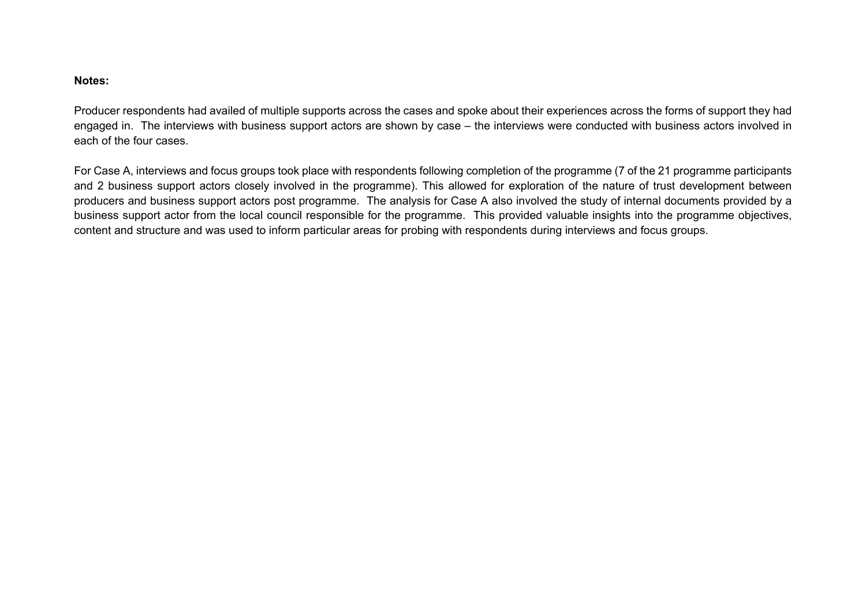#### **Notes:**

Producer respondents had availed of multiple supports across the cases and spoke about their experiences across the forms of support they had engaged in. The interviews with business support actors are shown by case – the interviews were conducted with business actors involved in each of the four cases.

For Case A, interviews and focus groups took place with respondents following completion of the programme (7 of the 21 programme participants and 2 business support actors closely involved in the programme). This allowed for exploration of the nature of trust development between producers and business support actors post programme. The analysis for Case A also involved the study of internal documents provided by a business support actor from the local council responsible for the programme. This provided valuable insights into the programme objectives, content and structure and was used to inform particular areas for probing with respondents during interviews and focus groups.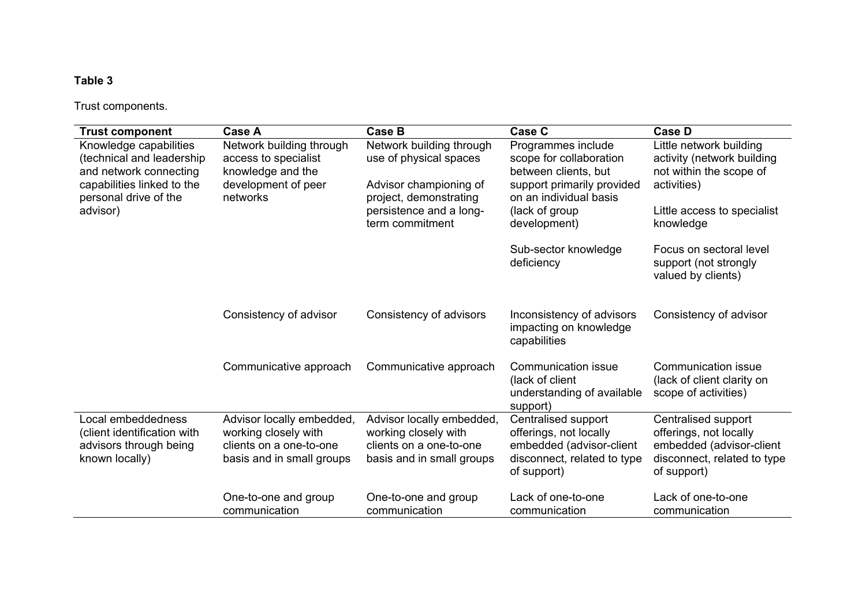Trust components.

| <b>Trust component</b>                                                                                                               | <b>Case A</b>                                                                                             | <b>Case B</b>                                                                                             | <b>Case C</b>                                                                                                                 | <b>Case D</b>                                                                                                           |
|--------------------------------------------------------------------------------------------------------------------------------------|-----------------------------------------------------------------------------------------------------------|-----------------------------------------------------------------------------------------------------------|-------------------------------------------------------------------------------------------------------------------------------|-------------------------------------------------------------------------------------------------------------------------|
| Knowledge capabilities<br>(technical and leadership<br>and network connecting<br>capabilities linked to the<br>personal drive of the | Network building through<br>access to specialist<br>knowledge and the<br>development of peer<br>networks  | Network building through<br>use of physical spaces<br>Advisor championing of<br>project, demonstrating    | Programmes include<br>scope for collaboration<br>between clients, but<br>support primarily provided<br>on an individual basis | Little network building<br>activity (network building<br>not within the scope of<br>activities)                         |
| advisor)                                                                                                                             |                                                                                                           | persistence and a long-<br>term commitment                                                                | (lack of group<br>development)                                                                                                | Little access to specialist<br>knowledge                                                                                |
|                                                                                                                                      |                                                                                                           |                                                                                                           | Sub-sector knowledge<br>deficiency                                                                                            | Focus on sectoral level<br>support (not strongly<br>valued by clients)                                                  |
|                                                                                                                                      | Consistency of advisor                                                                                    | Consistency of advisors                                                                                   | Inconsistency of advisors<br>impacting on knowledge<br>capabilities                                                           | Consistency of advisor                                                                                                  |
|                                                                                                                                      | Communicative approach                                                                                    | Communicative approach                                                                                    | <b>Communication issue</b><br>(lack of client<br>understanding of available<br>support)                                       | <b>Communication issue</b><br>(lack of client clarity on<br>scope of activities)                                        |
| Local embeddedness<br>(client identification with<br>advisors through being<br>known locally)                                        | Advisor locally embedded,<br>working closely with<br>clients on a one-to-one<br>basis and in small groups | Advisor locally embedded,<br>working closely with<br>clients on a one-to-one<br>basis and in small groups | Centralised support<br>offerings, not locally<br>embedded (advisor-client<br>disconnect, related to type<br>of support)       | Centralised support<br>offerings, not locally<br>embedded (advisor-client<br>disconnect, related to type<br>of support) |
|                                                                                                                                      | One-to-one and group<br>communication                                                                     | One-to-one and group<br>communication                                                                     | Lack of one-to-one<br>communication                                                                                           | Lack of one-to-one<br>communication                                                                                     |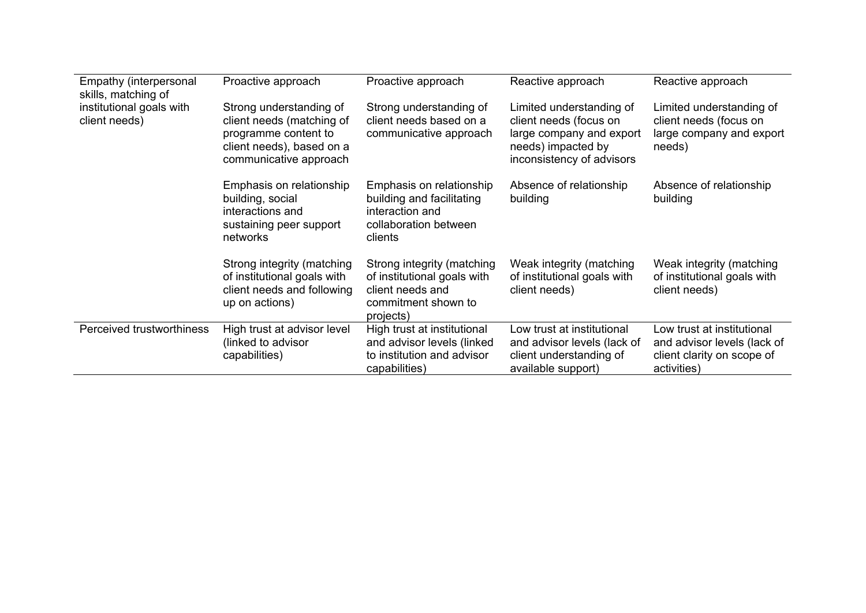| Empathy (interpersonal<br>skills, matching of | Proactive approach                                                                                                                  | Proactive approach                                                                                                | Reactive approach                                                                                                                 | Reactive approach                                                                                      |
|-----------------------------------------------|-------------------------------------------------------------------------------------------------------------------------------------|-------------------------------------------------------------------------------------------------------------------|-----------------------------------------------------------------------------------------------------------------------------------|--------------------------------------------------------------------------------------------------------|
| institutional goals with<br>client needs)     | Strong understanding of<br>client needs (matching of<br>programme content to<br>client needs), based on a<br>communicative approach | Strong understanding of<br>client needs based on a<br>communicative approach                                      | Limited understanding of<br>client needs (focus on<br>large company and export<br>needs) impacted by<br>inconsistency of advisors | Limited understanding of<br>client needs (focus on<br>large company and export<br>needs)               |
|                                               | Emphasis on relationship<br>building, social<br>interactions and<br>sustaining peer support<br>networks                             | Emphasis on relationship<br>building and facilitating<br>interaction and<br>collaboration between<br>clients      | Absence of relationship<br>building                                                                                               | Absence of relationship<br>building                                                                    |
|                                               | Strong integrity (matching<br>of institutional goals with<br>client needs and following<br>up on actions)                           | Strong integrity (matching<br>of institutional goals with<br>client needs and<br>commitment shown to<br>projects) | Weak integrity (matching<br>of institutional goals with<br>client needs)                                                          | Weak integrity (matching<br>of institutional goals with<br>client needs)                               |
| Perceived trustworthiness                     | High trust at advisor level<br>(linked to advisor<br>capabilities)                                                                  | High trust at institutional<br>and advisor levels (linked<br>to institution and advisor<br>capabilities)          | Low trust at institutional<br>and advisor levels (lack of<br>client understanding of<br>available support)                        | Low trust at institutional<br>and advisor levels (lack of<br>client clarity on scope of<br>activities) |